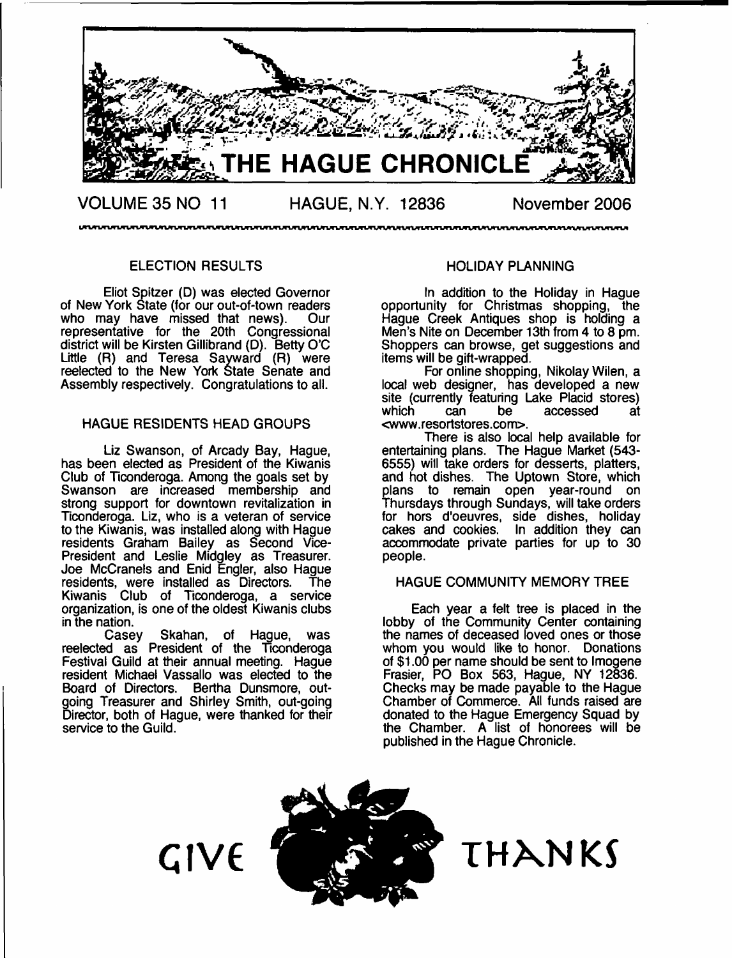

๛๛๛๛๛๛๛๛๛ ตามของเขาสาขาวหมายของเขามากของเขามากของเขามากของเขามากของเขามากของเขามากของเขามากของเขามากของเขามากของเขามากขอ

#### ELECTION RESULTS

Eliot Spitzer (D) was elected Governor of New York State (for our out-of-town readers<br>who may have missed that news). Our who may have missed that news). representative for the 20th Congressional district will be Kirsten Gillibrand (D). Betty O'C Little (R) and Teresa Sayward (R) were reelected to the New York State Senate and Assembly respectively. Congratulations to all.

#### HAGUE RESIDENTS HEAD GROUPS

Liz Swanson, of Arcady Bay, Hague, has been elected as President of the Kiwanis Club of Ticonderoga. Among the goals set by Swanson are increased membership and strong support for downtown revitalization in Ticonderoga. Liz, who is a veteran of service to the Kiwanis, was installed along with Hague residents Graham Bailey as Second Vice-President and Leslie Midgley as Treasurer. Joe McCranels and Enid Engler, also Hague residents, were installed as Directors. The Kiwanis Club of Ticonderoga, a service organization, is one of the oldest Kiwanis clubs in the nation.

Casey Skahan, of Hague, was reelected as President of the Ticonderoga Festival Guild at their annual meeting. Hague resident Michael Vassallo was elected to the Board of Directors. Bertha Dunsmore, outgoing Treasurer and Shirley Smith, out-going Director, both of Hague, were thanked for their service to the Guild.

#### HOLIDAY PLANNING

In addition to the Holiday in Hague opportunity for Christmas shopping, the Hague Creek Antiques shop is holding a Men's Nite on December 13th from 4 to 8 pm. Shoppers can browse, get suggestions and items will be gift-wrapped.

For online shopping, Nikolay Wilen, a local web designer, has developed a new site (currently featuring Lake Placid stores)<br>which can be accessed at accessed [<www.resortstores.com](http://www.resortstores.com)>.

There is also local help available for entertaining plans. The Hague Market (543- 6555) will take orders for desserts, platters, and hot dishes. The Uptown Store, which plans to remain open year-round on Thursdays through Sundays, will take orders for hors d'oeuvres, side dishes, holiday cakes and cookies. In addition they can accommodate private parties for up to 30 people.

#### HAGUE COMMUNITY MEMORY TREE

Each year a felt tree is placed in the lobby of the Community Center containing the names of deceased loved ones or those whom you would like to honor. Donations of \$1.00 per name should be sent to Imogene Frasier, PO Box 563, Hague, NY 12836. Checks may be made payable to the Hague Chamber of Commerce. All funds raised are donated to the Hague Emergency Squad by the Chamber. A list of honorees will be published in the Hague Chronicle.

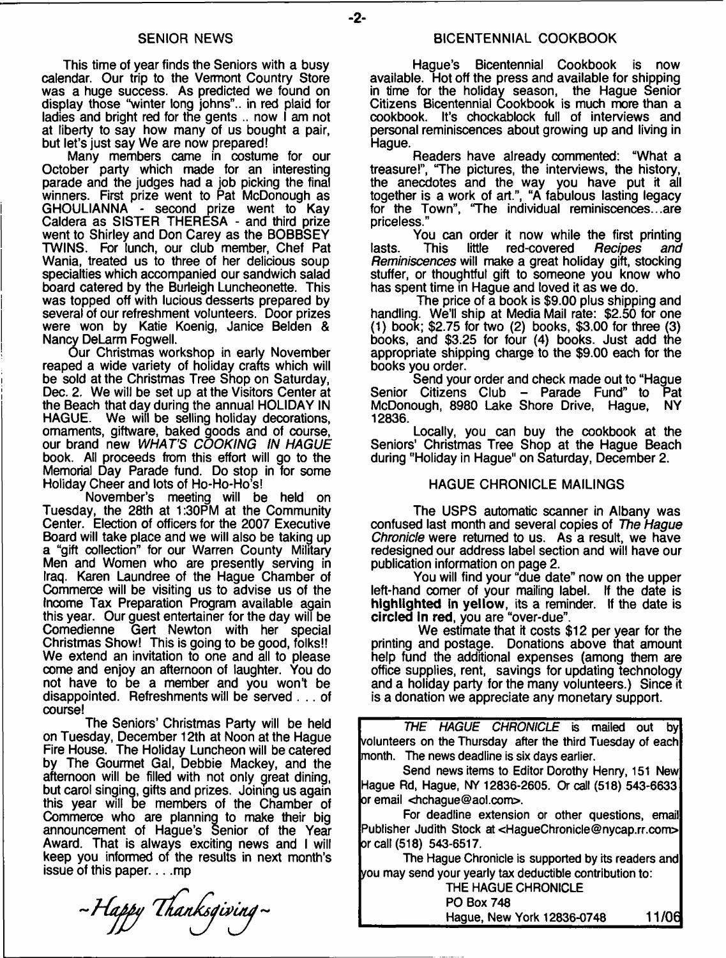This time of year finds the Seniors with a busy calendar. Our trip to the Vermont Country Store was a huge success. As predicted we found on display those "winter long johns",. in red plaid for ladies and bright red for the gents .. now I am not at liberty to say how many of us bought a pair, but let's just say We are now prepared!

Many members came in costume for our October party which made for an interesting parade and the judges had a job picking the final winners. First prize went to Pat McDonough as GHOULIANNA - second prize went to Kay Caldera as SISTER THERESA - and third prize went to Shirley and Don Carey as the BOBBSEY TWINS. For lunch, our club member, Chef Pat Wania, treated us to three of her delicious soup specialties which accompanied our sandwich salad board catered by the Burleigh Luncheonette. This was topped off with lucious desserts prepared by several of our refreshment volunteers. Door prizes were won by Katie Koenig, Janice Belden & Nancy DeLarm Fogwell.

Our Christmas workshop in early November reaped a wide variety of holiday crafts which will be sold at the Christmas Tree Shop on Saturday, Dec. 2, We will be set up at the Visitors Center at the Beach that day during the annual HOLIDAY IN<br>HAGUE. We will be selling holiday decorations. We will be selling holiday decorations, ornaments, giftware, baked goods and of course, our brand new *WHAT'S COOKING IN HAGUE* book. All proceeds from this effort will go to the Memorial Day Parade fund. Do stop in for some Holiday Cheer and lots of Ho-Ho-Ho's!

November's meeting will be held on Tuesday, the 28th at 1:30PM at the Community Center. Election of officers for the 2007 Executive Board will take place and we will also be taking up a "gift collection" for our Warren County Military Men and Women who are presently serving in Iraq. Karen Laundree of the Hague Chamber of Commerce will be visiting us to advise us of the Income Tax Preparation Program available again this year. Our guest entertainer for the day will be Gert Newton with her special Christmas Show! This is going to be good, folks!! We extend an invitation to one and all to please come and enjoy an afternoon of laughter. You do not have to be a member and you won't be disappointed. Refreshments will be served . . . of course!

The Seniors' Christmas Party will be held on Tuesday, December 12th at Noon at the Hague Fire House. The Holiday Luncheon will be catered by The Gourmet Gal, Debbie Mackey, and the afternoon will be filled with not only great dining, but carol singing, gifts and prizes. Joining us again this year will be members of the Chamber of Commerce who are planning to make their big announcement of Hague's Senior of the Year Award. That is always exciting news and I will keep you informed of the results in next month's issue of this paper.  $\dots$  mp

-Happy Thanksgiving-

Hague's Bicentennial Cookbook is now available. Hot off the press and available for shipping in time for the holiday season, the Hague Senior Citizens Bicentennial Cookbook is much more than a cookbook. It's chockablock full of interviews and personal reminiscences about growing up and living in Hague.

Readers have already commented: "What a treasure!", "The pictures, the interviews, the history, the anecdotes and the way you have put it all together is a work of art.", "A fabulous lasting legacy for the Town", 'The individual reminiscences...are priceless."

You can order it now while the first printing<br>This little red-covered *Recipes and* lasts. This little red-covered *Recipes and Reminiscences* will make a great holiday gift, stocking stuffer, or thoughtful gift to someone you know who has spent time in Hague and loved it as we do.

The price of a book is \$9.00 plus shipping and handling. We'll ship at Media Mail rate: \$2.50 for one (1) book; \$2.75 for two (2) books, \$3.00 for three (3) books, and \$3.25 for four (4) books. Just add the appropriate shipping charge to the \$9.00 each for the books you order.

Send your order and check made out to "Hague Senior Citizens Club - Parade Fund" to Pat McDonough, 8980 Lake Shore Drive, Hague, NY 12836.

Locally, you can buy the cookbook at the Seniors' Christmas Tree Shop at the Hague Beach during "Holiday in Hague" on Saturday, December 2.

#### HAGUE CHRONICLE MAILINGS

The USPS automatic scanner in Albany was confused last month and several copies of *The Hague Chronicle* were returned to us. As a result, we have redesigned our address label section and will have our publication information on page 2.

You will find your "due date" now on the upper left-hand comer of your mailing label. If the date is highlighted in yellow, its a reminder. If the date is circled In red, you are "over-due".

We estimate that it costs \$12 per year for the printing and postage. Donations above that amount help fund the additional expenses (among them are office supplies, rent, savings for updating technology and a holiday party for the many volunteers.) Since it is a donation we appreciate any monetary support.

*THE HAGUE CHRONICLE* is mailed out by volunteers on the Thursday after the third Tuesday of each month. The news deadline is six days earlier.

Send news items to Editor Dorothy Henry, 151 New Hague Rd, Hague, NY 12836-2605. Or call (518) 543-6633 or email [<hchague@aol.com>](mailto:hchague@aol.com).

For deadline extension or other questions, email Publisher Judith Stock at<[HagueChronicle@nycap.rr.com>](mailto:HagueChronicle@nycap.rr.com) or call (518) 543-6517.

The Hague Chronicle is supported by its readers and you may send your yearly tax deductible contribution to:

THE HAGUE CHRONICLE PO Box 748 Hague, New York 12836-0748 11 /06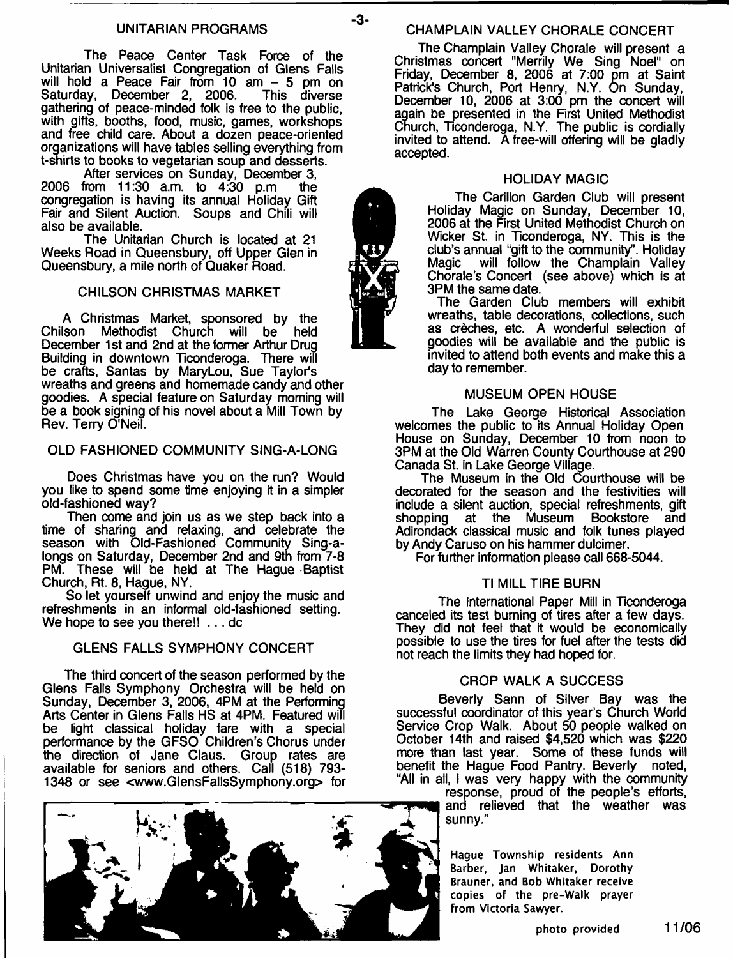#### **UNITARIAN PROGRAMS CHAMPLAIN VALLEY CHORALE CONCERT**

The Peace Center Task Force of the Unitarian Universalist Congregation of Glens Falls will hold a Peace Fair from 10 am - 5 pm on Saturday, December 2, 2006. This diverse gathering of peace-minded folk is free to the public, with gifts, booths, food, music, games, workshops and free child care. About a dozen peace-oriented organizations will have tables selling everything from t-shirts to books to vegetarian soup and desserts.

After services on Sunday, December 3, 2006 from 11:30 a.m. to 4:30 p.m the congregation is having its annual Holiday Gift Fair and Silent Auction. Soups and Chili will also be available.

The Unitarian Church is located at 21 Weeks Road in Queensbury, off Upper Glen in Queensbury, a mile north of Quaker Road.

#### CHILSON CHRISTMAS MARKET

A Christmas Market, sponsored by the<br>Ison Methodist Church will be held Chilson Methodist Church will be December 1st and 2nd at the former Arthur Drug Building in downtown Ticonderoga. There will be crafts, Santas by MaryLou, Sue Taylor's wreaths and greens and homemade candy and other goodies. A special feature on Saturday morning will be a book signing of his novel about a Mill Town by Rev. Terry O'Neil.

#### OLD FASHIONED COMMUNITY SING-A-LONG

Does Christmas have you on the run? Would you like to spend some time enjoying it in a simpler old-fashioned way?

Then come and join us as we step back into a time of sharing and relaxing, and celebrate the season with Old-Fashioned Community Sing-alongs on Saturday, December 2nd and 9th from 7-8 PM. These will be held at The Hague Baptist Church, Rt. 8, Hague, NY.

So let yourself unwind and enjoy the music and refreshments in an informal old-fashioned setting. We hope to see you there!! . . . dc

#### GLENS FALLS SYMPHONY CONCERT

The third concert of the season performed by the Glens Falls Symphony Orchestra will be held on Sunday, December 3, 2006, 4PM at the Performing Arts Center in Glens Falls HS at 4PM. Featured will be light classical holiday fare with a special performance by the GFSO Children's Chorus under the direction of Jane Claus. Group rates are available for seniors and others. Call (518) 793- 1348 or see [<www.GlensFallsSymphony.org](http://www.GlensFallsSymphony.org)> for

The Champlain Valley Chorale will present a Christmas concert "Merrily We Sing Noel" on Friday, December 8, 2006 at 7:00 pm at Saint Patrick's Church, Port Henry, N.Y. On Sunday, December 10, 2006 at 3:00 pm the concert will again be presented in the First United Methodist Church, Ticonderoga, N.Y. The public is cordially invited to attend. A free-will offering will be gladly accepted.

#### HOLIDAY MAGIC

The Carillon Garden Club will present Holiday Magic on Sunday, December 10, 2006 at the First United Methodist Church on Wicker St. in Ticonderoga, NY. This is the club's annual "gift to the community'. Holiday Magic will follow the Champlain Valley Chorale's Concert (see above) which is at 3PM the same date.

The Garden Club members will exhibit wreaths, table decorations, collections, such as creches, etc. A wonderful selection of goodies will be available and the public is invited to attend both events and make this a day to remember.

#### MUSEUM OPEN HOUSE

The Lake George Historical Association welcomes the public to its Annual Holiday Open House on Sunday, December 10 from noon to 3PM at the Old Warren County Courthouse at 290 Canada St. in Lake George Village.

The Museum in the Old Courthouse will be decorated for the season and the festivities will include a silent auction, special refreshments, gift shopping at the Museum Adirondack classical music and folk tunes played by Andy Caruso on his hammer dulcimer.

For further information please call 668-5044.

#### TIMILL TIRE BURN

The International Paper Mill in Ticonderoga canceled its test burning of tires after a few days. They did not feel that it would be economically possible to use the tires for fuel after the tests did not reach the limits they had hoped for.

#### CROP WALK A SUCCESS

Beverly Sann of Silver Bay was the successful coordinator of this year's Church World Service Crop Walk. About 50 people walked on October 14th and raised \$4,520 which was \$220 more than last year. Some of these funds will benefit the Hague Food Pantry. Beverly noted, "All in all, I was very happy with the community

response, proud of the people's efforts, and relieved that the weather was sunny."

**Hague Township residents Ann Barber, Jan Whitaker, Dorothy Brauner, and Bob Whitaker receive copies of the pre-Walk prayer from Victoria Sawyer.**





 $-3-$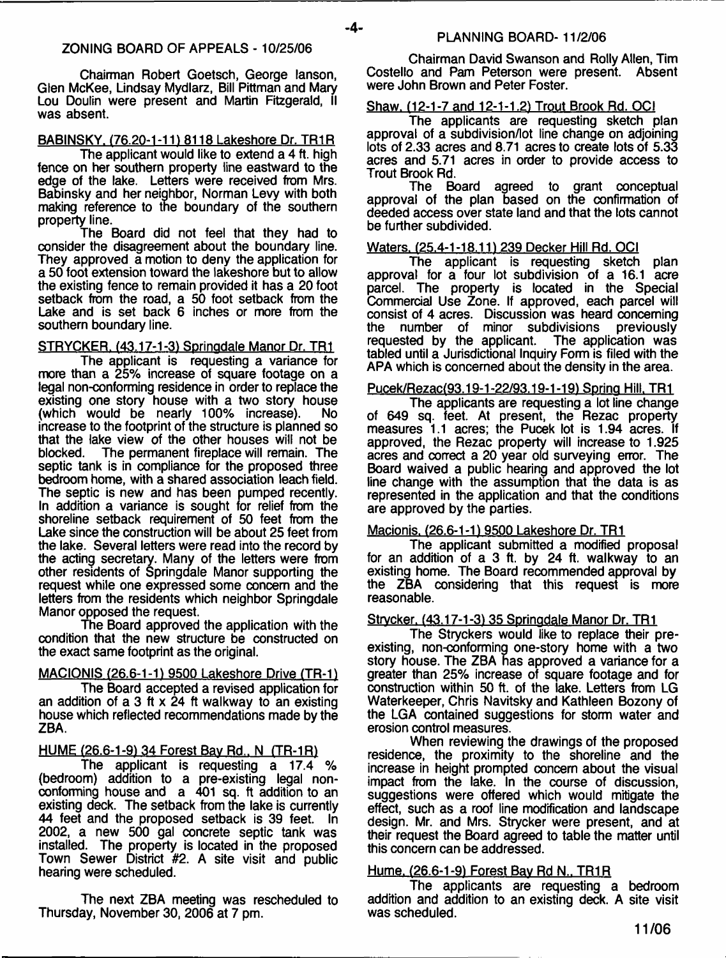$-4-$ 

Chairman Robert Goetsch, George lanson, Glen McKee, Lindsay Mydlarz, Bill Pittman and Mary Lou Doulin were present and Martin Fitzgerald, II was absent.

#### BABINSKY. {76.20-1-11) 8118 Lakeshore Dr. TR1R

The applicant would like to extend a 4 ft. high fence on her southern property line eastward to the edge of the lake. Letters were received from Mrs. Babinsky and her neighbor, Norman Levy with both making reference to the boundary of the southern property line.

The Board did not feel that they had to consider the disagreement about the boundary line. They approved a motion to deny the application for a 50 foot extension toward the lakeshore but to allow the existing fence to remain provided it has a 20 foot setback from the road, a 50 foot setback from the Lake and is set back 6 inches or more from the southern boundary line.

#### STRYCKER. (43.17-1-3) Springdale Manor Dr. TR1

The applicant is requesting a variance for more than a 25% increase of square footage on a legal non-conforming residence in order to replace the existing one story house with a two story house (which would be nearly 100% increase). No increase to the footprint of the structure is planned so that the lake view of the other houses will not be blocked. The permanent fireplace will remain. The The permanent fireplace will remain. The septic tank is in compliance for the proposed three bedroom home, with a shared association leach field. The septic is new and has been pumped recently. In addition a variance is sought for relief from the shoreline setback requirement of 50 feet from the Lake since the construction will be about 25 feet from the lake. Several letters were read into the record by the acting secretary. Many of the letters were from other residents of Springdale Manor supporting the request while one expressed some concern and the letters from the residents which neighbor Springdale Manor opposed the request.

The Board approved the application with the condition that the new structure be constructed on the exact same footprint as the original.

### MACIONIS (26.6-1-1) 9500 Lakeshore Drive (TR-1)

The Board accepted a revised application for an addition of a 3 ft  $\times$  24 ft walkway to an existing house which reflected recommendations made by the ZBA.

#### HUME (26.6-1-9) 34 Forest Bav Rd.. N (TR-1R1

The applicant is requesting a 17.4 % (bedroom) addition to a pre-existing legal nonconforming house and a 401 sq. ft addition to an existing deck. The setback from the lake is currently 44 feet and the proposed setback is 39 feet. In 2002, a new 500 gal concrete septic tank was installed. The property is located in the proposed Town Sewer District #2. A site visit and public hearing were scheduled.

The next ZBA meeting was rescheduled to Thursday, November 30, 2006 at 7 pm.

Chairman David Swanson and Roily Allen, Tim Costello and Pam Peterson were present. Absent were John Brown and Peter Foster.

#### Shaw. (12-1-7 and 12-1-1.2) Trout Brook Rd. OCI

The applicants are requesting sketch plan approval of a subdivision/lot line change on adjoining lots of 2.33 acres and 8.71 acres to create lots of 5.33 acres and 5.71 acres in order to provide access to Trout Brook Rd.

The Board agreed to grant conceptual approval of the plan based on the confirmation of deeded access over state land and that the lots cannot be further subdivided.

#### Waters, (25.4-1-18.11) 239 Decker Hill Rd. OCI

The applicant is requesting sketch plan approval for a four lot subdivision of a 16.1 acre parcel. The property is located in the Special Commercial Use Zone. If approved, each parcel will consist of 4 acres. Discussion was heard concerning<br>the number of minor subdivisions previously the number of minor subdivisions previously<br>requested by the applicant. The application was requested by the applicant. tabled until a Jurisdictional Inquiry Form is filed with the APA which is concerned about the density in the area.

#### Pucek/Rezac(93.19-1-22/93.19-1-191 Spring Hill. TR1

The applicants are requesting a lot line change of 649 sq. feet. At present, the Rezac property measures 1.1 acres; the Pucek lot is 1.94 acres. If approved, the Rezac property will increase to 1.925 acres and correct a 20 year old surveying error. The Board waived a public hearing and approved the lot line change with the assumption that the data is as represented in the application and that the conditions are approved by the parties.

#### Macionis. (26.6-1-1) 9500 Lakeshore Dr. TR1

The applicant submitted a modified proposal for an addition of a 3 ft. by 24 ft. walkway to an existing home. The Board recommended approval by the ZBA considering that this request is more reasonable.

#### Strycker. (43.17-1-3) 35 Springdale Manor Dr. TR1

The Stryckers would like to replace their preexisting, non-conforming one-story home with a two story house. The ZBA has approved a variance for a greater than 25% increase of square footage and for construction within 50 ft. of the lake. Letters from LG Waterkeeper, Chris Navitsky and Kathleen Bozony of the LGA contained suggestions for storm water and erosion control measures.

When reviewing the drawings of the proposed residence, the proximity to the shoreline and the increase in height prompted concern about the visual impact from the lake. In the course of discussion, suggestions were offered which would mitigate the effect, such as a roof line modification and landscape design. Mr. and Mrs. Strycker were present, and at their request the Board agreed to table the matter until this concern can be addressed.

#### Hume, (26.6-1-9) Forest Bay Rd N., TR1R

The applicants are requesting a bedroom addition and addition to an existing deck. A site visit was scheduled.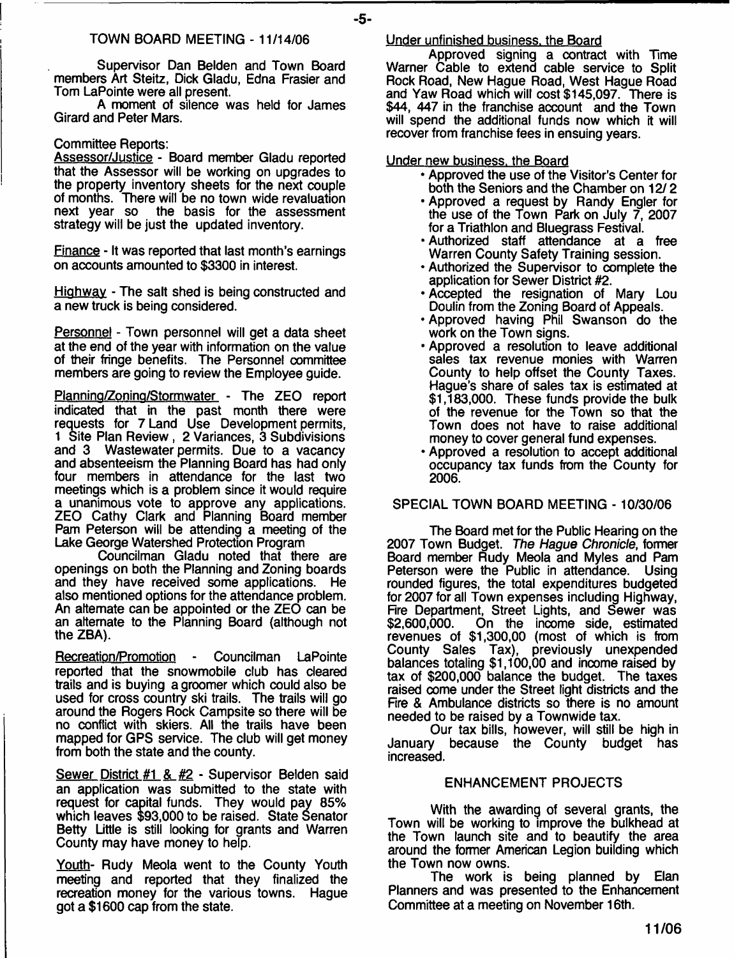#### TOWN BOARD MEETING - 11/14/06

Supervisor Dan Belden and Town Board members Art Steitz, Dick Gladu, Edna Frasier and Tom LaPointe were all present.

A moment of silence was held for James Girard and Peter Mars.

#### Committee Reports:

Assessor/Justice - Board member Gladu reported that the Assessor will be working on upgrades to the property inventory sheets for the next couple of months. There will be no town wide revaluation<br>next year so the basis for the assessment the basis for the assessment strategy will be just the updated inventory.

Finance - It was reported that last month's earnings on accounts amounted to \$3300 in interest.

Highway - The salt shed is being constructed and a new truck is being considered.

Personnel - Town personnel will get a data sheet at the end of the year with information on the value of their fringe benefits. The Personnel committee members are going to review the Employee guide.

Planning/Zoning/Stormwater - The ZEO report indicated that in the past month there were requests for 7 Land Use Development permits, 1 Site Plan Review , 2 Variances, 3 Subdivisions and 3 Wastewater permits. Due to a vacancy and absenteeism the Planning Board has had only four members in attendance for the last two meetings which is a problem since it would require a unanimous vote to approve any applications. ZEO Cathy Clark and Planning Board member Pam Peterson will be attending a meeting of the Lake George Watershed Protection Program

Councilman Gladu noted that there are openings on both the Planning and Zoning boards and they have received some applications. He also mentioned options for the attendance problem. An alternate can be appointed or the ZEO can be an alternate to the Planning Board (although not the ZBA).

Recreation/Promotion - Councilman LaPointe reported that the snowmobile club has cleared trails and is buying a groomer which could also be used for cross country ski trails. The trails will go around the Rogers Rock Campsite so there will be no conflict with skiers. All the trails have been mapped for GPS service. The club will get money from both the state and the county.

Sewer District #1 & #2 - Supervisor Belden said an application was submitted to the state with request for capital funds. They would pay 85% which leaves \$93,000 to be raised. State Senator Betty Little is still looking for grants and Warren County may have money to help.

Youth- Rudy Meola went to the County Youth meeting and reported that they finalized the recreation money for the various towns. Hague got a \$1600 cap from the state.

#### Under unfinished business, the Board

Approved signing a contract with Time Warner Cable to extend cable service to Split Rock Road, New Hague Road, West Hague Road and Yaw Road which will cost \$145,097. There is \$44, 447 in the franchise account and the Town will spend the additional funds now which it will recover from franchise fees in ensuing years.

Under new business, the Board

- Approved the use of the Visitor's Center for both the Seniors and the Chamber on 12/ 2
- Approved a request by Randy Engler for the use of the Town Park on July 7, 2007 for a Triathlon and Bluegrass Festival.
- Authorized staff attendance at a free Warren County Safety Training session.
- Authorized the Supervisor to complete the application for Sewer District #2.
- Accepted the resignation of Mary Lou Doulin from the Zoning Board of Appeals.
- Approved having Phil Swanson do the work on the Town signs.
- Approved a resolution to leave additional sales tax revenue monies with Warren County to help offset the County Taxes. Hague's share of sales tax is estimated at \$1,183,000. These funds provide the bulk of the revenue for the Town so that the Town does not have to raise additional money to cover general fund expenses.
- Approved a resolution to accept additional occupancy tax funds from the County for 2006.

SPECIAL TOWN BOARD MEETING - 10/30/06

The Board met for the Public Hearing on the 2007 Town Budget. *The Hague Chronicle,* former Board member Rudy Meola and Myles and Pam Peterson were the Public in attendance. Using rounded figures, the total expenditures budgeted for 2007 for all Town expenses including Highway, Fire Department, Street Lights, and Sewer was On the income side, estimated revenues of \$1,300,00 (most of which is from County Sales Tax), previously unexpended balances totaling \$1,100,00 and income raised by tax of \$200,000 balance the budget. The taxes raised come under the Street light districts and the Fire & Ambulance districts so there is no amount needed to be raised by a Townwide tax.

Our tax bills, however, will still be high in January because the County budget has because the County budget has increased.

#### ENHANCEMENT PROJECTS

With the awarding of several grants, the Town will be working to improve the bulkhead at the Town launch site and to beautify the area around the former American Legion building which the Town now owns.

The work is being planned by Elan Planners and was presented to the Enhancement Committee at a meeting on November 16th.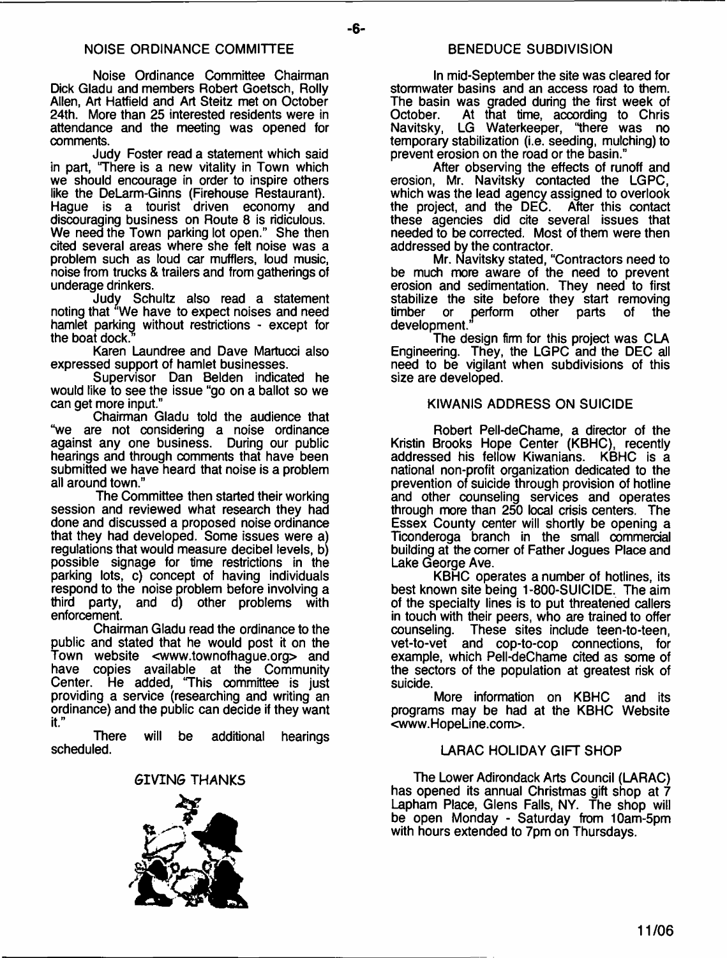#### NOISE ORDINANCE COMMITTEE

Noise Ordinance Committee Chairman Dick Gladu and members Robert Goetsch, Roily Allen, Art Hatfield and Art Steitz met on October 24th. More than 25 interested residents were in attendance and the meeting was opened for comments.

Judy Foster read a statement which said in part, 'There is a new vitality in Town which we should encourage in order to inspire others like the DeLarm-Ginns (Firehouse Restaurant). Hague is a tourist driven economy and discouraging business on Route 8 is ridiculous. We need the Town parking lot open." She then cited several areas where she felt noise was a problem such as loud car mufflers, loud music, noise from trucks & trailers and from gatherings of underage drinkers.

Judy Schultz also read a statement noting that "We have to expect noises and need hamlet parking without restrictions - except for the boat dock.

Karen Laundree and Dave Martucci also expressed support of hamlet businesses.

Supervisor Dan Belden indicated he would like to see the issue "go on a ballot so we can get more input."

Chairman Gladu told the audience that "we are not considering a noise ordinance against any one business. During our public hearings and through comments that have been submitted we have heard that noise is a problem all around town."

The Committee then started their working session and reviewed what research they had done and discussed a proposed noise ordinance that they had developed. Some issues were a) regulations that would measure decibel levels, b) possible signage for time restrictions in the parking lots, c) concept of having individuals respond to the noise problem before involving a third party, and d) other problems with enforcement.

Chairman Gladu read the ordinance to the public and stated that he would post it on the Town website [<www.townofhague.org](http://www.townofhague.org)> and have copies available at the Community Center. He added, 'This committee is just providing a service (researching and writing an ordinance) and the public can decide if they want it."

There will be additional hearings scheduled.

#### *GIVING* THANKS



#### BENEDUCE SUBDIVISION

In mid-September the site was cleared for stormwater basins and an access road to them. The basin was graded during the first week of<br>October. At that time. according to Chris October. At that time, according to Chris Navitsky, LG Waterkeeper, "there was no temporary stabilization (i.e. seeding, mulching) to prevent erosion on the road or the basin."

After observing the effects of runoff and erosion, Mr. Navitsky contacted the LGPC, which was the lead agency assigned to overlook the project, and the DEC. After this contact the project, and the  $DEC$ . these agencies did cite several issues that needed to be corrected. Most of them were then addressed by the contractor.

Mr. Navitsky stated, "Contractors need to be much more aware of the need to prevent erosion and sedimentation. They need to first stabilize the site before they start removing timber or perform other parts of the timber or perform other<br>development."

The design firm for this project was CLA Engineering. They, the LGPC and the DEC all need to be vigilant when subdivisions of this size are developed.

#### KIWANIS ADDRESS ON SUICIDE

Robert Pell-deChame, a director of the Kristin Brooks Hope Center (KBHC), recently addressed his fellow Kiwanians. KBHC is a national non-profit organization dedicated to the prevention of suicide through provision of hotline and other counseling services and operates through more than 250 local crisis centers. The Essex County center will shortly be opening a Ticonderoga branch in the small commercial building at the comer of Father Jogues Place and Lake George Ave.

KBHC operates a number of hotlines, its best known site being 1-800-SUICIDE. The aim of the specialty lines is to put threatened callers in touch with their peers, who are trained to offer These sites include teen-to-teen, vet-to-vet and cop-to-cop connections, for example, which Pell-deChame cited as some of the sectors of the population at greatest risk of suicide.

More information on KBHC and its programs may be had at the KBHC Website [<www.HopeLine.com](http://www.HopeLine.com)>.

#### LARAC HOLIDAY GIFT SHOP

The Lower Adirondack Arts Council (LARAC) has opened its annual Christmas gift shop at 7 Lapham Place, Glens Falls, NY. The shop will be open Monday - Saturday from 10am-5pm with hours extended to 7pm on Thursdays.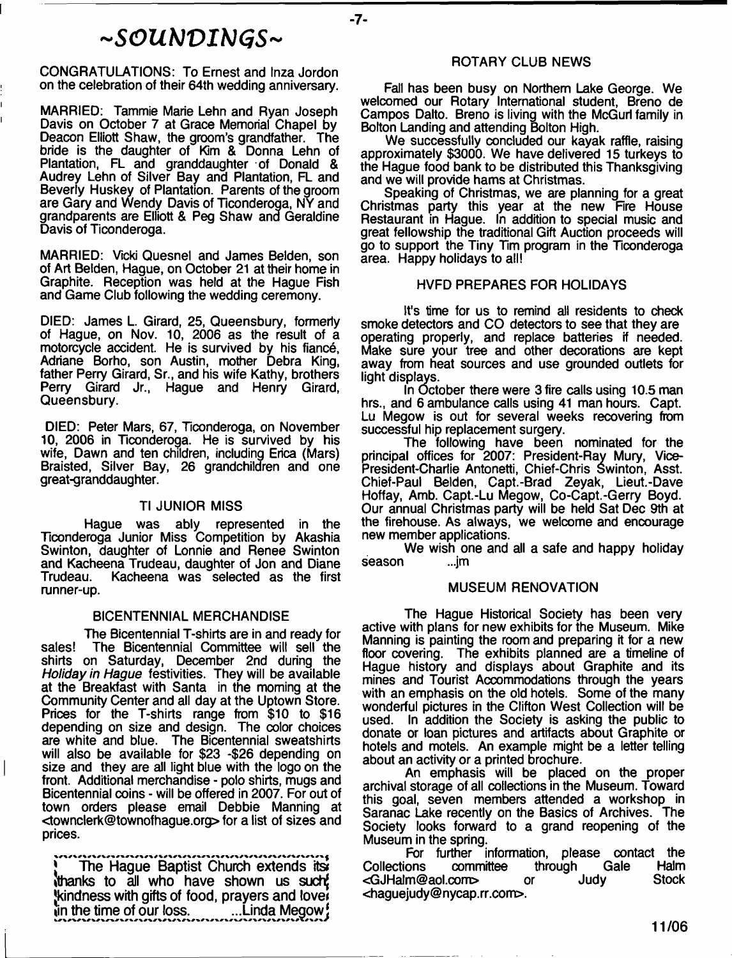# *- S O U b J V I K I G S -*

**-7-**

CONGRATULATIONS: To Ernest and Inza Jordon on the celebration of their 64th wedding anniversary.

MARRIED: Tammie Marie Lehn and Ryan Joseph Davis on October 7 at Grace Memorial Chapel by Deacon Elliott Shaw, the groom's grandfather. The bride is the daughter of Kim & Donna Lehn of Plantation, FL and granddaughter of Donald & Audrey Lehn of Silver Bay and Plantation, FL and Beverly Huskey of Plantation. Parents of the groom are Gary and Wendy Davis of Ticonderoga, NY and grandparents are Elliott & Peg Shaw and Geraldine Davis of Ticonderoga.

MARRIED: Vicki Quesnel and James Belden, son of Art Belden, Hague, on October 21 at their home in Graphite. Reception was held at the Hague Fish and Game Club following the wedding ceremony.

DIED: James L. Girard, 25, Queensbury, formerly of Hague, on Nov. 10, 2006 as the result of a motorcycle accident. He is survived by his fiance, Adriane Borho, son Austin, mother Debra King, father Perry Girard, Sr., and his wife Kathy, brothers Perry Girard Jr., Hague and Henry Girard, Queensbury.

DIED: Peter Mars, 67, Ticonderoga, on November 10, 2006 in Ticonderoga. He is survived by his wife, Dawn and ten children, including Erica (Mars) Braisted, Silver Bay, 26 grandchildren and one great-granddaughter.

#### Tl JUNIOR MISS

Hague was ably represented in the Ticonderoga Junior Miss Competition by Akashia Swinton, daughter of Lonnie and Renee Swinton and Kacheena Trudeau, daughter of Jon and Diane Kacheena was selected as the first runner-up.

#### BICENTENNIAL MERCHANDISE

The Bicentennial T-shirts are in and ready for sales! The Bicentennial Committee will sell the shirts on Saturday, December 2nd during the *Holiday in Hague* festivities. They will be available at the Breakfast with Santa in the morning at the Community Center and all day at the Uptown Store. Prices for the T-shirts range from \$10 to \$16 depending on size and design. The color choices are white and blue. The Bicentennial sweatshirts will also be available for \$23 -\$26 depending on size and they are all light blue with the logo on the front. Additional merchandise - polo shirts, mugs and Bicentennial coins - will be offered in 2007. For out of town orders please email Debbie Manning at [<townclerk@townofhague.org](mailto:townclerk@townofhague.org)> for a list of sizes and prices.

**j The Hague Baptist Church extends its Ithanks to all who have shown us suchj Kindness with gifts of food, prayers and love**  $\mathbf{i}$  and the time of our loss. **tinda Megow!** 

#### ROTARY CLUB NEWS

Fall has been busy on Northern Lake George. We welcomed our Rotary International student, Breno de Campos Dalto. Breno is living with the McGurl family in Bolton Landing and attending Bolton High.

We successfully concluded our kayak raffle, raising approximately \$3000. We have delivered 15 turkeys to the Hague food bank to be distributed this Thanksgiving and we will provide hams at Christmas.

Speaking of Christmas, we are planning for a great Christmas party this year at the new Fire House Restaurant in Hague. In addition to special music and great fellowship the traditional Gift Auction proceeds will go to support the Tiny Tim program in the Ticonderoga area. Happy holidays to all!

#### HVFD PREPARES FOR HOLIDAYS

It's time for us to remind all residents to check smoke detectors and CO detectors to see that they are operating properly, and replace batteries if needed. Make sure your tree and other decorations are kept away from heat sources and use grounded outlets for light displays.

In October there were 3 fire calls using 10.5 man hrs., and 6 ambulance calls using 41 man hours. Capt. Lu Megow is out for several weeks recovering from successful hip replacement surgery.

The following have been nominated for the principal offices for 2007: President-Ray Mury, Vice-President-Charlie Antonetti, Chief-Chris Swinton, Asst. Chief-Paul Belden, Capt.-Brad Zeyak, Lieut.-Dave Hoffay, Amb. Capt.-Lu Megow, Co-Capt.-Gerry Boyd. Our annual Christmas party will be held Sat Dec 9th at the firehouse. As always, we welcome and encourage new member applications.

We wish one and all a safe and happy holiday season ...jm

#### MUSEUM RENOVATION

The Hague Historical Society has been very active with plans for new exhibits for the Museum. Mike Manning is painting the room and preparing it for a new floor covering. The exhibits planned are a timeline of Hague history and displays about Graphite and its mines and Tourist Accommodations through the years with an emphasis on the old hotels. Some of the many wonderful pictures in the Clifton West Collection will be used. In addition the Society is asking the public to donate or loan pictures and artifacts about Graphite or hotels and motels. An example might be a letter telling about an activity or a printed brochure.

An emphasis will be placed on the proper archival storage of all collections in the Museum. Toward this goal, seven members attended a workshop in Saranac Lake recently on the Basics of Archives. The Society looks forward to a grand reopening of the Museum in the spring.

For further information, please contact the<br>ons committee through Gale Halm Collections committee through [<GJHalm@aol.com](mailto:GJHalm@aol.com)> or Judy Stock [<haguejudy@nycap.rr.com>](mailto:haguejudy@nycap.rr.com).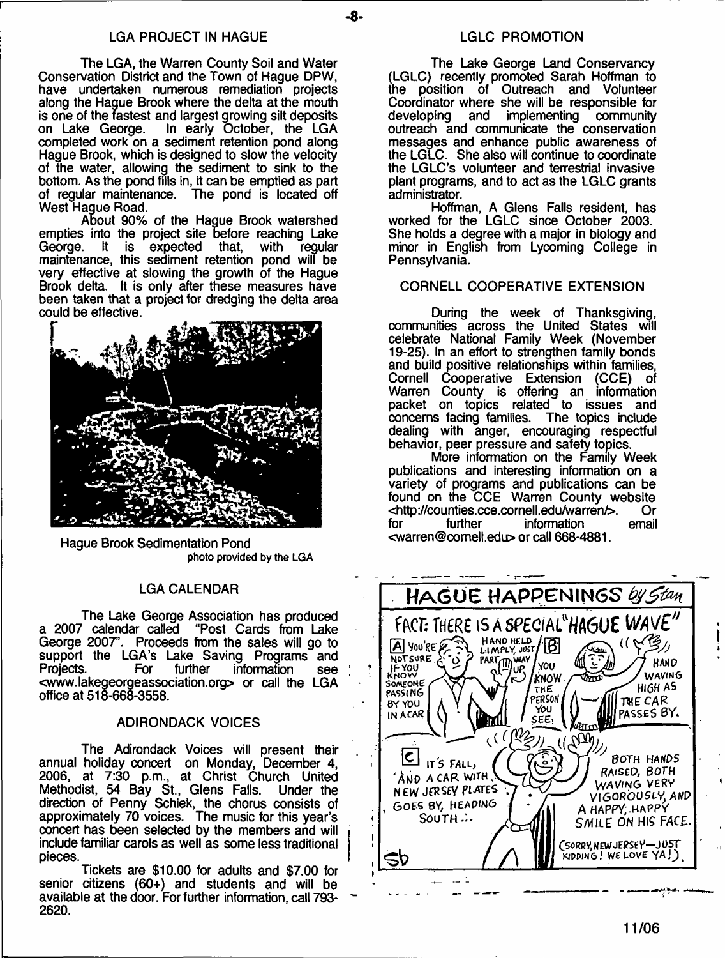#### LGA PROJECT IN HAGUE LAND CONTROLLER CONTROLLER THE LATE REPORT ON A LATE CONTROLLER LATE CONTROLLER THE LATE O

The LGA, the Warren County Soil and Water Conservation District and the Town of Hague DPW, have undertaken numerous remediation projects along the Hague Brook where the delta at the mouth is one of the fastest and largest growing silt deposits on Lake George. In early October, the LGA completed work on a sediment retention pond along Hague Brook, which is designed to slow the velocity of the water, allowing the sediment to sink to the bottom. As the pond fills in, it can be emptied as part of regular maintenance. The pond is located off West Hague Road.

About 90% of the Hague Brook watershed empties into the project site before reaching Lake<br>George. It is expected that. with regular It is expected  $t$ maintenance, this sediment retention pond will be very effective at slowing the growth of the Hague Brook delta. It is only after these measures have been taken that a project for dredging the delta area could be effective.



Hague Brook Sedimentation Pond **photo provided by the LGA**

#### LGA CALENDAR

The Lake George Association has produced<br>a 2007 calendar called "Post Cards from Lake "Post Cards from Lake George 2007". Proceeds from the sales will go to support the LGA's Lake Saving Programs and<br>Projects. For further information see Projects. For further information see <[www.lakegeorgeassociation.org](http://www.lakegeorgeassociation.org)> or call the LGA office at 518-668-3558.

#### ADIRONDACK VOICES

The Adirondack Voices will present their annual holiday concert on Monday, December 4, 2006, at 7:30 p.m., at Christ Church United Methodist, 54 Bay St., Glens Falls. Under the direction of Penny Schiek, the chorus consists of approximately 70 voices. The music for this year's concert has been selected by the members and will include familiar carols as well as some less traditional pieces.

Tickets are \$10.00 for adults and \$7.00 for senior citizens (60+) and students and will be available at the door. For further information, call 793- 2620.

The Lake George Land Conservancy (LGLC) recently promoted Sarah Hoffman to position of Outreach and Volunteer Coordinator where she will be responsible for developing and implementing community outreach and communicate the conservation messages and enhance public awareness of the LGLC. She also will continue to coordinate the LGLC's volunteer and terrestrial invasive plant programs, and to act as the LGLC grants administrator.

Hoffman, A Glens Falls resident, has worked for the LGLC since October 2003. She holds a degree with a major in biology and minor in English from Lycoming College in Pennsylvania.

#### CORNELL COOPERATIVE EXTENSION

During the week of Thanksgiving, communities across the United States will celebrate National Family Week (November 19-25). In an effort to strengthen family bonds and build positive relationships within families, Cornell Cooperative Extension (CCE) of Warren County is offering an information packet on topics related to issues and concerns facing families. The topics include dealing with anger, encouraging respectful behavior, peer pressure and safety topics.

More information on the Family Week publications and interesting information on a variety of programs and publications can be found on the CCE Warren County website<br><http://counties.cce.cornell.edu/warren/>. Or <<http://counties.cce.cornell.edu/warren/>>. Or information <[warren@comell.edu](mailto:warren@comell.edu)> or call 668-4881.

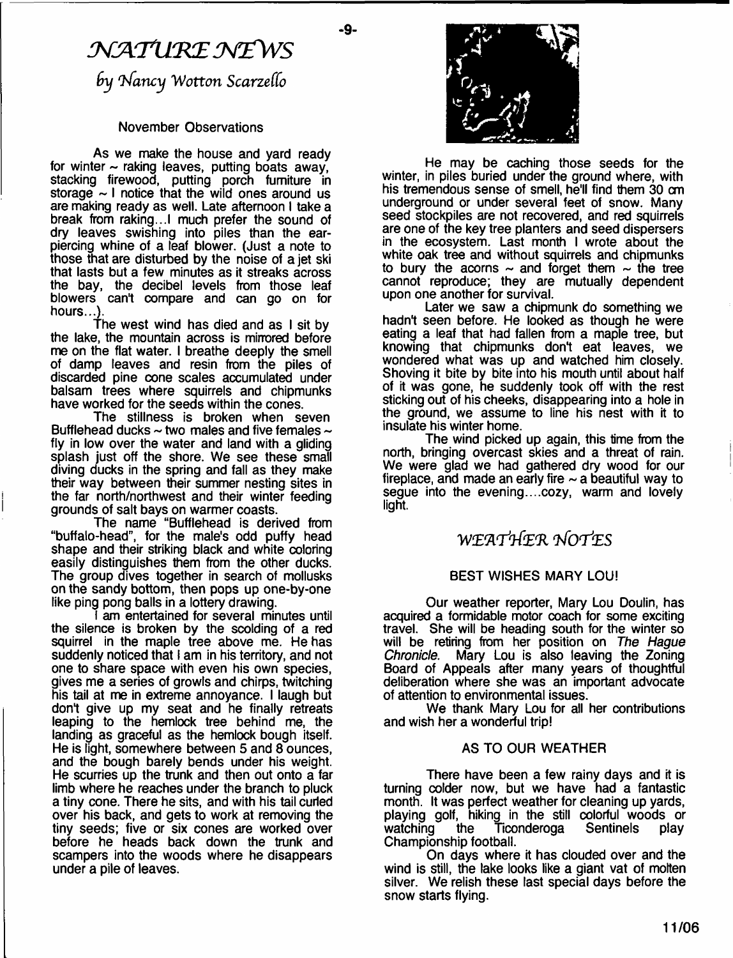# *NATURE NEWS by 'hfancy W otton Scarzeffo*

۵L.

#### November Observations

As we make the house and yard ready for winter  $\sim$  raking leaves, putting boats away, stacking firewood, putting porch furniture in storage  $\sim$  I notice that the wild ones around us are making ready as well. Late afternoon I take a break from raking...I much prefer the sound of dry leaves swishing into piles than the earpiercing whine of a leaf blower. (Just a note to those that are disturbed by the noise of a jet ski that lasts but a few minutes as it streaks across the bay, the decibel levels from those leaf blowers can't compare and can go on for hours…<u>)</u>

The west wind has died and as I sit by the lake, the mountain across is mirrored before me on the flat water. I breathe deeply the smell of damp leaves and resin from the piles of discarded pine cone scales accumulated under balsam trees where squirrels and chipmunks have worked for the seeds within the cones.

The stillness is broken when seven Bufflehead ducks  $\sim$  two males and five females  $\sim$ fly in low over the water and land with a gliding splash just off the shore. We see these small diving ducks in the spring and fall as they make their way between their summer nesting sites in the far north/northwest and their winter feeding grounds of salt bays on warmer coasts.

The name "Bufflehead is derived from "buffalo-head", for the male's odd puffy head shape and their striking black and white coloring easily distinguishes them from the other ducks. The group dives together in search of mollusks on the sandy bottom, then pops up one-by-one like ping pong balls in a lottery drawing.

I am entertained for several minutes until the silence is broken by the scolding of a red squirrel in the maple tree above me. He has suddenly noticed that I am in his territory, and not one to share space with even his own species, gives me a series of growls and chirps, twitching his tail at me in extreme annoyance. I laugh but don't give up my seat and he finally retreats leaping to the hemlock tree behind me, the landing as graceful as the hemlock bough itself. He is light, somewhere between 5 and 8 ounces, and the bough barely bends under his weight. He scurries up the trunk and then out onto a far limb where he reaches under the branch to pluck a tiny cone. There he sits, and with his tail curled over his back, and gets to work at removing the tiny seeds; five or six cones are worked over before he heads back down the trunk and scampers into the woods where he disappears under a pile of leaves.



He may be caching those seeds for the winter, in piles buried under the ground where, with his tremendous sense of smell, he'll find them 30 cm underground or under several feet of snow. Many seed stockpiles are not recovered, and red squirrels are one of the key tree planters and seed dispersers in the ecosystem. Last month I wrote about the white oak tree and without squirrels and chipmunks to bury the acorns  $\sim$  and forget them  $\sim$  the tree cannot reproduce; they are mutually dependent upon one another for survival.

Later we saw a chipmunk do something we hadn't seen before. He looked as though he were eating a leaf that had fallen from a maple tree, but knowing that chipmunks don't eat leaves, we wondered what was up and watched him closely. Shoving it bite by bite into his mouth until about half of it was gone, he suddenly took off with the rest sticking out of his cheeks, disappearing into a hole in the ground, we assume to line his nest with it to insulate his winter home.

The wind picked up again, this time from the north, bringing overcast skies and a threat of rain. We were glad we had gathered dry wood for our fireplace, and made an early fire  $\sim$  a beautiful way to segue into the evening....cozy, warm and lovely light.

# W E fl'r t& R *iV O T 'tES*

#### BEST WISHES MARY LOU!

Our weather reporter, Mary Lou Doulin, has acquired a formidable motor coach for some exciting travel. She will be heading south for the winter so will be retiring from her position on *The Hague* Mary Lou is also leaving the Zoning Board of Appeals after many years of thoughtful deliberation where she was an important advocate of attention to environmental issues.

We thank Mary Lou for all her contributions and wish her a wonderful trip!

#### AS TO OUR WEATHER

There have been a few rainy days and it is turning colder now, but we have had a fantastic month. It was perfect weather for cleaning up yards, playing golf, hiking in the still colorful woods or<br>watching the Ticonderoga Sentinels play Ticonderoga Championship football.

On days where it has clouded over and the wind is still, the lake looks like a giant vat of molten silver. We relish these last special days before the snow starts flying.